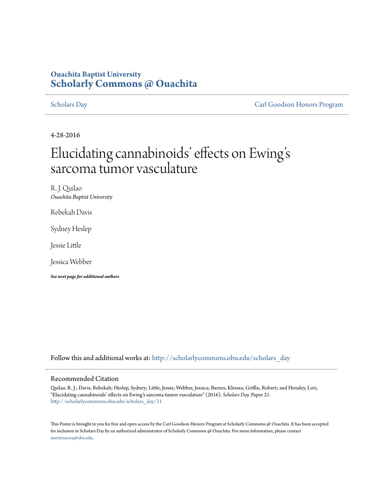# **Ouachita Baptist University [Scholarly Commons @ Ouachita](http://scholarlycommons.obu.edu?utm_source=scholarlycommons.obu.edu%2Fscholars_day%2F21&utm_medium=PDF&utm_campaign=PDFCoverPages)**

[Scholars Day](http://scholarlycommons.obu.edu/scholars_day?utm_source=scholarlycommons.obu.edu%2Fscholars_day%2F21&utm_medium=PDF&utm_campaign=PDFCoverPages) [Carl Goodson Honors Program](http://scholarlycommons.obu.edu/honors?utm_source=scholarlycommons.obu.edu%2Fscholars_day%2F21&utm_medium=PDF&utm_campaign=PDFCoverPages)

4-28-2016

# Elucidating cannabinoids' effects on Ewing s י<br>' sarcoma tumor vasculature

R. J. Quilao *Ouachita Baptist University*

Rebekah Davis

Sydney Heslep

Jessie Little

Jessica Webber

*See next page for additional authors*

Follow this and additional works at: [http://scholarlycommons.obu.edu/scholars\\_day](http://scholarlycommons.obu.edu/scholars_day?utm_source=scholarlycommons.obu.edu%2Fscholars_day%2F21&utm_medium=PDF&utm_campaign=PDFCoverPages)

# Recommended Citation

Quilao, R. J.; Davis, Rebekah; Heslep, Sydney; Little, Jessie; Webber, Jessica; Barnes, Klressa; Griffin, Robert; and Hensley, Lori, "Elucidating cannabinoids' effects on Ewing's sarcoma tumor vasculature" (2016). *Scholars Day.* Paper 21. [http://scholarlycommons.obu.edu/scholars\\_day/21](http://scholarlycommons.obu.edu/scholars_day/21?utm_source=scholarlycommons.obu.edu%2Fscholars_day%2F21&utm_medium=PDF&utm_campaign=PDFCoverPages)

This Poster is brought to you for free and open access by the Carl Goodson Honors Program at Scholarly Commons @ Ouachita. It has been accepted for inclusion in Scholars Day by an authorized administrator of Scholarly Commons @ Ouachita. For more information, please contact [mortensona@obu.edu](mailto:mortensona@obu.edu).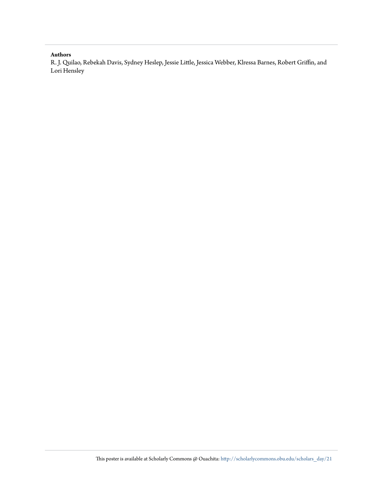# **Authors**

R. J. Quilao, Rebekah Davis, Sydney Heslep, Jessie Little, Jessica Webber, Klressa Barnes, Robert Griffin, and Lori Hensley